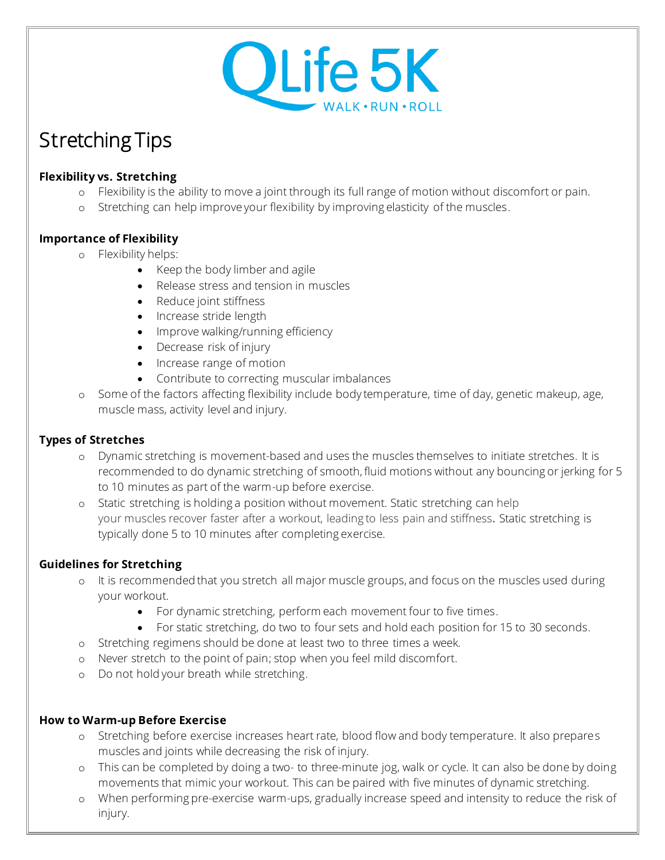

# Stretching Tips

## **Flexibility vs. Stretching**

- o Flexibility is the ability to move a joint through its full range of motion without discomfort or pain.
- o Stretching can help improve your flexibility by improving elasticity of the muscles.

## **Importance of Flexibility**

- o Flexibility helps:
	- Keep the body limber and agile
	- Release stress and tension in muscles
	- Reduce joint stiffness
	- Increase stride length
	- Improve walking/running efficiency
	- Decrease risk of injury
	- Increase range of motion
	- Contribute to correcting muscular imbalances
- o Some of the factors affecting flexibility include body temperature, time of day, genetic makeup, age, muscle mass, activity level and injury.

#### **Types of Stretches**

- o Dynamic stretching is movement-based and uses the muscles themselves to initiate stretches. It is recommended to do dynamic stretching of smooth, fluid motions without any bouncing or jerking for 5 to 10 minutes as part of the warm-up before exercise.
- o Static stretching is holding a position without movement. Static stretching can help your muscles recover faster after a workout, leading to less pain and stiffness. Static stretching is typically done 5 to 10 minutes after completing exercise.

#### **Guidelines for Stretching**

- o It is recommended that you stretch all major muscle groups, and focus on the muscles used during your workout.
	- For dynamic stretching, perform each movement four to five times.
	- For static stretching, do two to four sets and hold each position for 15 to 30 seconds.
- o Stretching regimens should be done at least two to three times a week.
- o Never stretch to the point of pain; stop when you feel mild discomfort.
- o Do not hold your breath while stretching.

#### **How to Warm-up Before Exercise**

- o Stretching before exercise increases heart rate, blood flow and body temperature. It also prepares muscles and joints while decreasing the risk of injury.
- o This can be completed by doing a two- to three-minute jog, walk or cycle. It can also be done by doing movements that mimic your workout. This can be paired with five minutes of dynamic stretching.
- o When performing pre-exercise warm-ups, gradually increase speed and intensity to reduce the risk of injury.